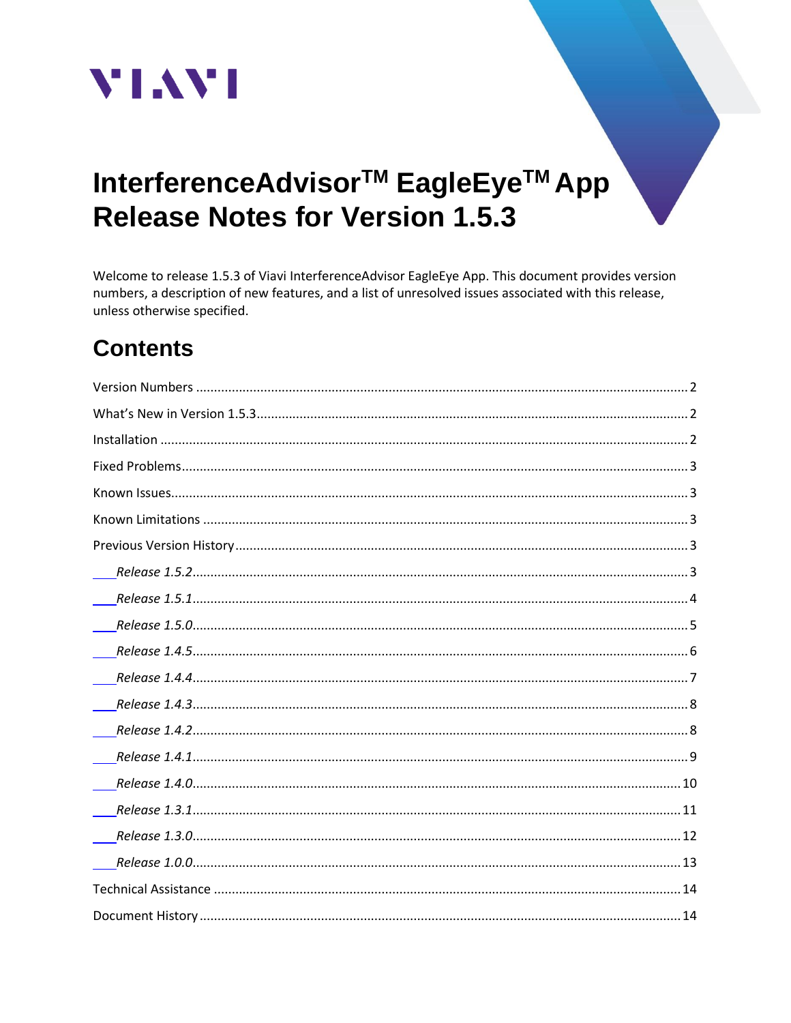

# InterferenceAdvisor<sup>™</sup> EagleEye<sup>™</sup> App **Release Notes for Version 1.5.3**

Welcome to release 1.5.3 of Viavi InterferenceAdvisor EagleEye App. This document provides version numbers, a description of new features, and a list of unresolved issues associated with this release, unless otherwise specified.

# **Contents**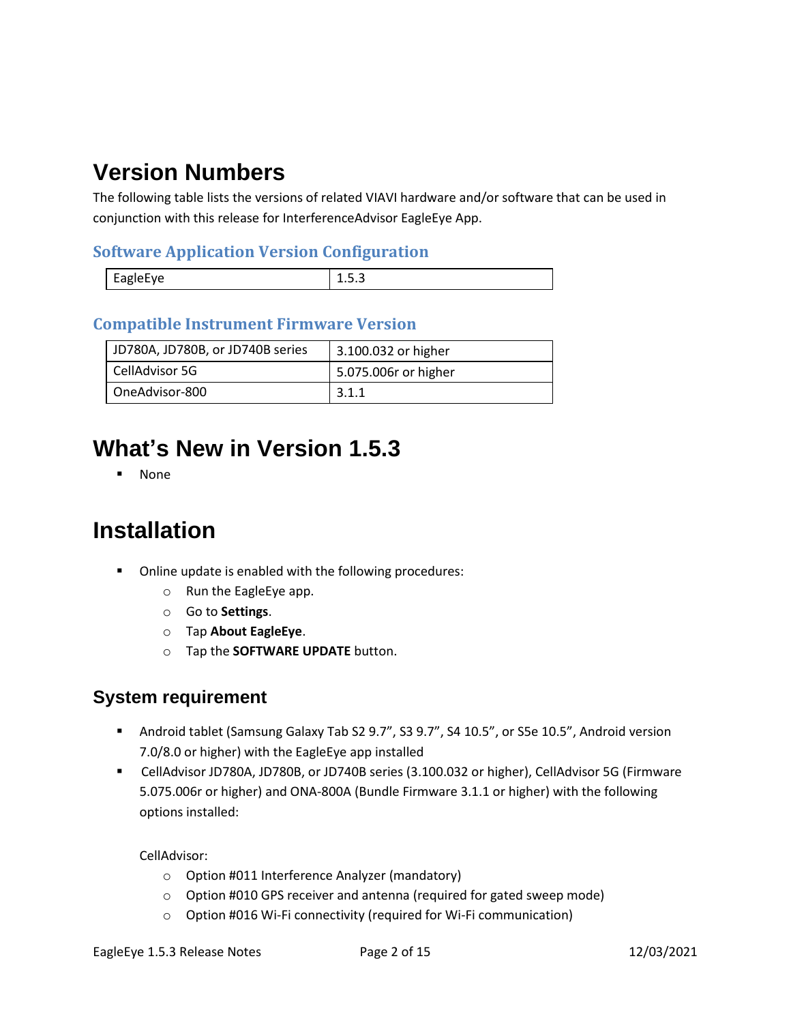# <span id="page-1-0"></span>**Version Numbers**

The following table lists the versions of related VIAVI hardware and/or software that can be used in conjunction with this release for InterferenceAdvisor EagleEye App.

#### **Software Application Version Configuration**

| <b>FAPIPFVP</b><br>. |  |
|----------------------|--|
|                      |  |

#### **Compatible Instrument Firmware Version**

| JD780A, JD780B, or JD740B series | 3.100.032 or higher  |
|----------------------------------|----------------------|
| CellAdvisor 5G                   | 5.075.006r or higher |
| OneAdvisor-800                   | 3.1.1                |

## <span id="page-1-1"></span>**What's New in Version 1.5.3**

▪ None

### <span id="page-1-2"></span>**Installation**

- Online update is enabled with the following procedures:
	- o Run the EagleEye app.
	- o Go to **Settings**.
	- o Tap **About EagleEye**.
	- o Tap the **SOFTWARE UPDATE** button.

#### **System requirement**

- Android tablet (Samsung Galaxy Tab S2 9.7", S3 9.7", S4 10.5", or S5e 10.5", Android version 7.0/8.0 or higher) with the EagleEye app installed
- CellAdvisor JD780A, JD780B, or JD740B series (3.100.032 or higher), CellAdvisor 5G (Firmware 5.075.006r or higher) and ONA-800A (Bundle Firmware 3.1.1 or higher) with the following options installed:

CellAdvisor:

- o Option #011 Interference Analyzer (mandatory)
- o Option #010 GPS receiver and antenna (required for gated sweep mode)
- o Option #016 Wi-Fi connectivity (required for Wi-Fi communication)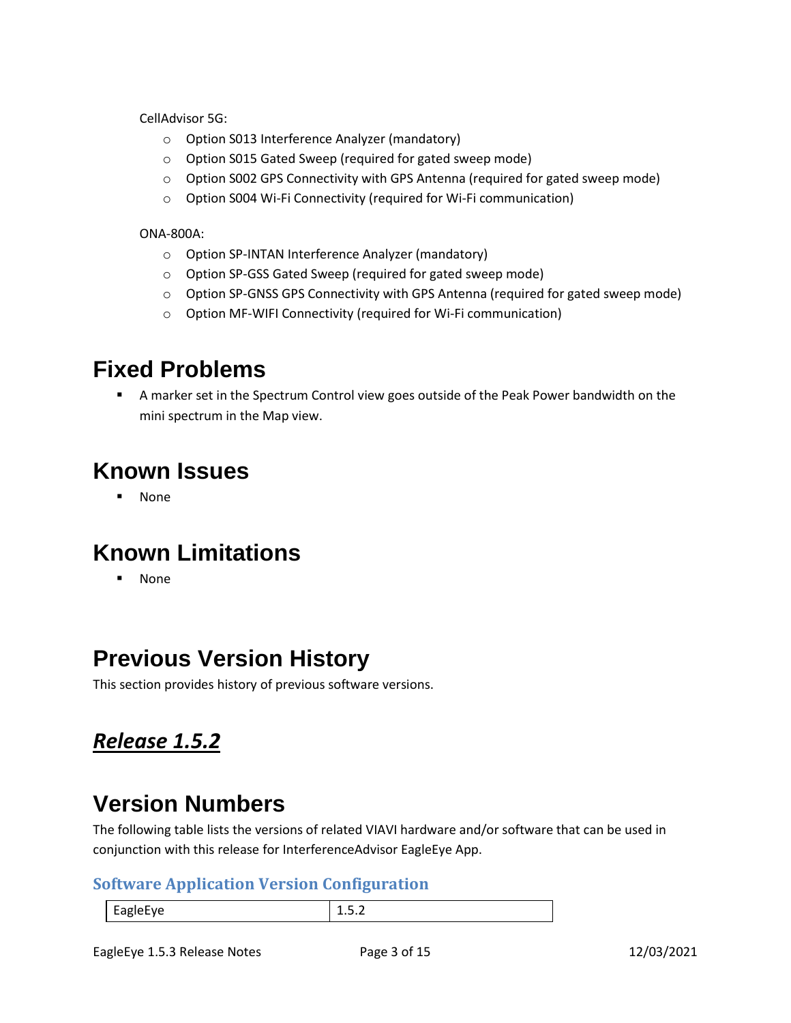CellAdvisor 5G:

- o Option S013 Interference Analyzer (mandatory)
- o Option S015 Gated Sweep (required for gated sweep mode)
- o Option S002 GPS Connectivity with GPS Antenna (required for gated sweep mode)
- o Option S004 Wi-Fi Connectivity (required for Wi-Fi communication)

#### ONA-800A:

- o Option SP-INTAN Interference Analyzer (mandatory)
- o Option SP-GSS Gated Sweep (required for gated sweep mode)
- o Option SP-GNSS GPS Connectivity with GPS Antenna (required for gated sweep mode)
- o Option MF-WIFI Connectivity (required for Wi-Fi communication)

### <span id="page-2-0"></span>**Fixed Problems**

**EX A marker set in the Spectrum Control view goes outside of the Peak Power bandwidth on the** mini spectrum in the Map view.

### <span id="page-2-1"></span>**Known Issues**

▪ None

# <span id="page-2-2"></span>**Known Limitations**

▪ None

## <span id="page-2-3"></span>**Previous Version History**

This section provides history of previous software versions.

#### <span id="page-2-4"></span>*Release 1.5.2*

## **Version Numbers**

The following table lists the versions of related VIAVI hardware and/or software that can be used in conjunction with this release for InterferenceAdvisor EagleEye App.

#### **Software Application Version Configuration**

| - - - - - |
|-----------|
|           |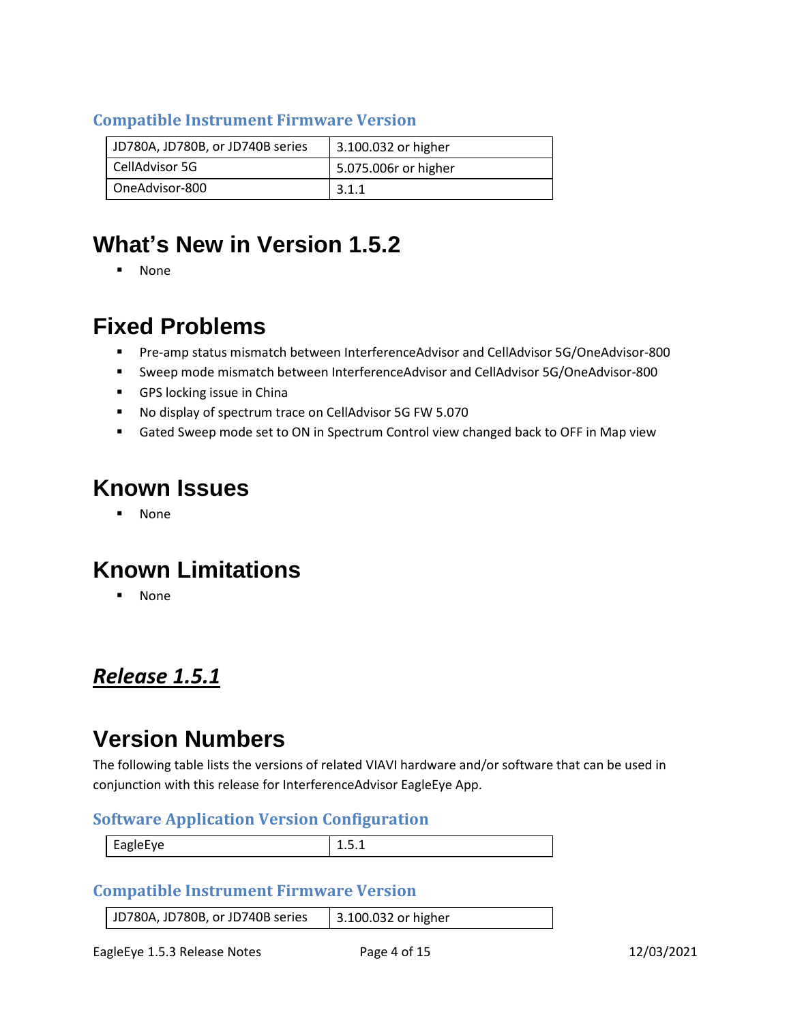#### **Compatible Instrument Firmware Version**

| JD780A, JD780B, or JD740B series | 3.100.032 or higher  |
|----------------------------------|----------------------|
| CellAdvisor 5G                   | 5.075.006r or higher |
| OneAdvisor-800                   | 3.1.1                |

## **What's New in Version 1.5.2**

▪ None

## **Fixed Problems**

- Pre-amp status mismatch between InterferenceAdvisor and CellAdvisor 5G/OneAdvisor-800
- Sweep mode mismatch between InterferenceAdvisor and CellAdvisor 5G/OneAdvisor-800
- GPS locking issue in China
- No display of spectrum trace on CellAdvisor 5G FW 5.070
- Gated Sweep mode set to ON in Spectrum Control view changed back to OFF in Map view

### **Known Issues**

▪ None

## **Known Limitations**

▪ None

#### <span id="page-3-0"></span>*Release 1.5.1*

## **Version Numbers**

The following table lists the versions of related VIAVI hardware and/or software that can be used in conjunction with this release for InterferenceAdvisor EagleEye App.

#### **Software Application Version Configuration**

| $ -$ | ----- |
|------|-------|
|      |       |

#### **Compatible Instrument Firmware Version**

| JD780A, JD780B, or JD740B series | 3.100.032 or higher |
|----------------------------------|---------------------|
|----------------------------------|---------------------|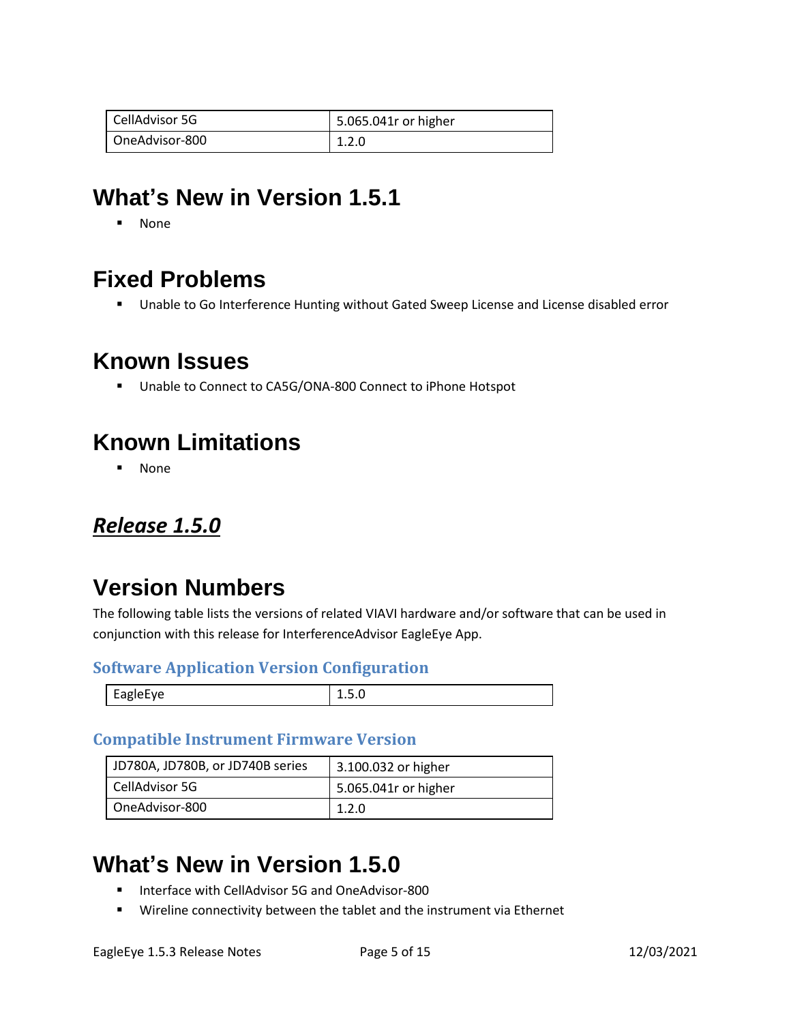| CellAdvisor 5G | 5.065.041r or higher |
|----------------|----------------------|
| OneAdvisor-800 | 1.2.0                |

## **What's New in Version 1.5.1**

▪ None

## **Fixed Problems**

■ Unable to Go Interference Hunting without Gated Sweep License and License disabled error

### **Known Issues**

■ Unable to Connect to CA5G/ONA-800 Connect to iPhone Hotspot

## **Known Limitations**

**None** 

#### <span id="page-4-0"></span>*Release 1.5.0*

### **Version Numbers**

The following table lists the versions of related VIAVI hardware and/or software that can be used in conjunction with this release for InterferenceAdvisor EagleEye App.

#### **Software Application Version Configuration**

| AU-APIe-<br>ים~− | <u></u> |
|------------------|---------|

#### **Compatible Instrument Firmware Version**

| JD780A, JD780B, or JD740B series | 3.100.032 or higher  |
|----------------------------------|----------------------|
| CellAdvisor 5G                   | 5.065.041r or higher |
| OneAdvisor-800                   | 1.2.0                |

### **What's New in Version 1.5.0**

- Interface with CellAdvisor 5G and OneAdvisor-800
- Wireline connectivity between the tablet and the instrument via Ethernet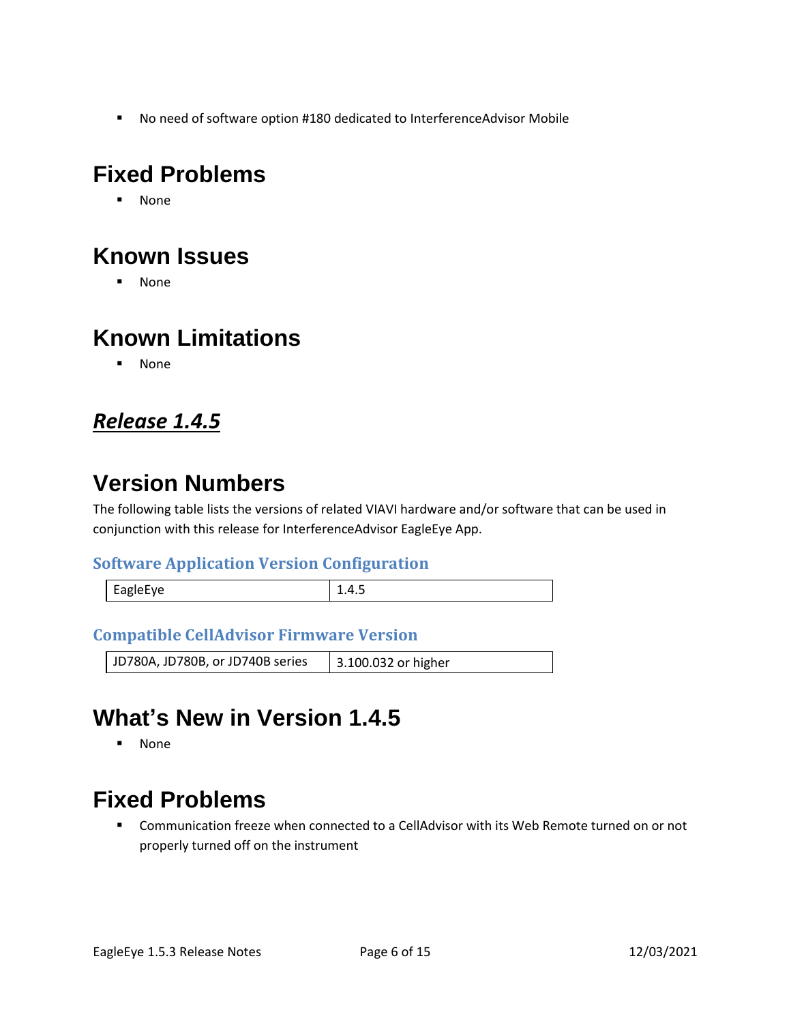■ No need of software option #180 dedicated to InterferenceAdvisor Mobile

# **Fixed Problems**

▪ None

# **Known Issues**

▪ None

# **Known Limitations**

▪ None

#### <span id="page-5-0"></span>*Release 1.4.5*

## **Version Numbers**

The following table lists the versions of related VIAVI hardware and/or software that can be used in conjunction with this release for InterferenceAdvisor EagleEye App.

#### **Software Application Version Configuration**

| ADIPF VP<br>$-90 - -$ | . . <del>.</del> |
|-----------------------|------------------|
|                       |                  |

#### **Compatible CellAdvisor Firmware Version**

| JD780A, JD780B, or JD740B series | 3.100.032 or higher |
|----------------------------------|---------------------|
|----------------------------------|---------------------|

# **What's New in Version 1.4.5**

▪ None

## **Fixed Problems**

■ Communication freeze when connected to a CellAdvisor with its Web Remote turned on or not properly turned off on the instrument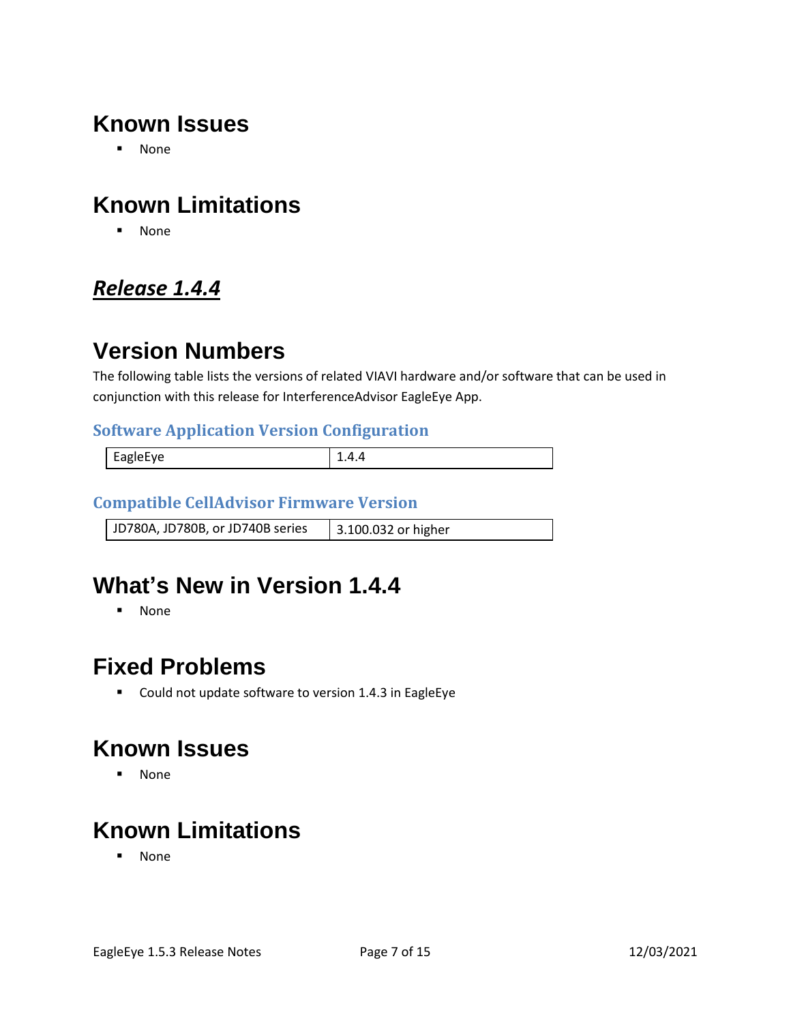# **Known Issues**

▪ None

# **Known Limitations**

▪ None

### <span id="page-6-0"></span>*Release 1.4.4*

## **Version Numbers**

The following table lists the versions of related VIAVI hardware and/or software that can be used in conjunction with this release for InterferenceAdvisor EagleEye App.

#### **Software Application Version Configuration**

| Eas<br>-- |  |
|-----------|--|
|           |  |

#### **Compatible CellAdvisor Firmware Version**

| JD780A, JD780B, or JD740B series | 3.100.032 or higher |
|----------------------------------|---------------------|

## **What's New in Version 1.4.4**

▪ None

## **Fixed Problems**

■ Could not update software to version 1.4.3 in EagleEye

## **Known Issues**

▪ None

# **Known Limitations**

▪ None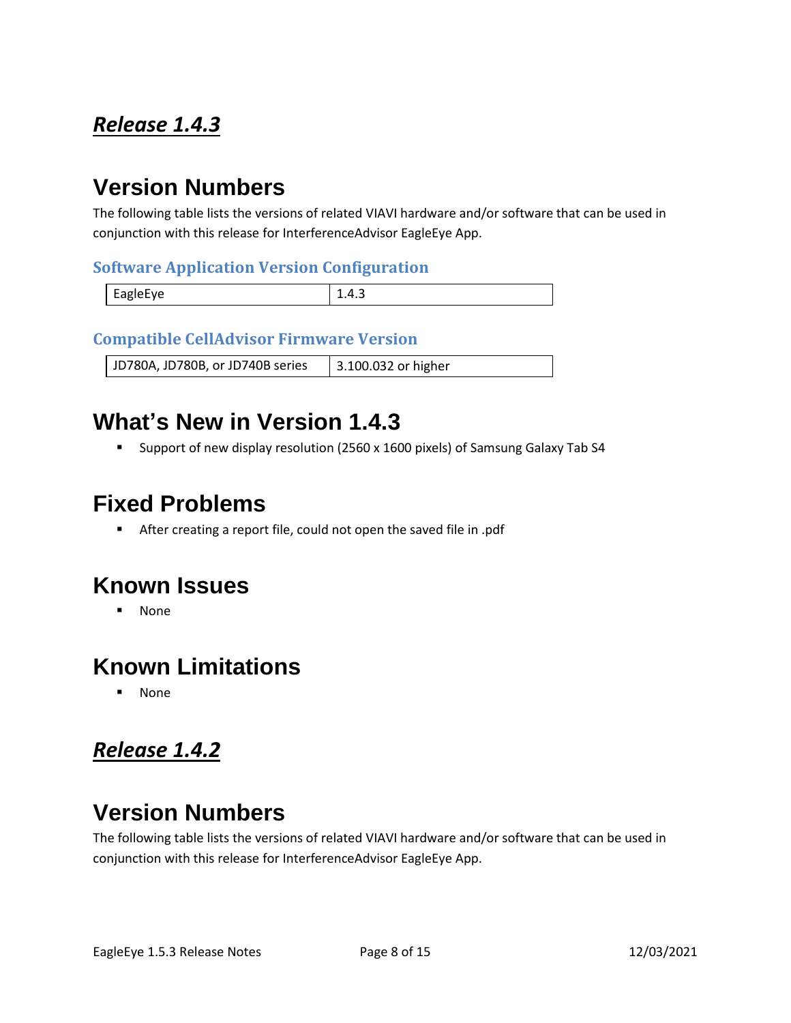## <span id="page-7-0"></span>*Release 1.4.3*

## **Version Numbers**

The following table lists the versions of related VIAVI hardware and/or software that can be used in conjunction with this release for InterferenceAdvisor EagleEye App.

#### **Software Application Version Configuration**

| EagleEye | . д<br>∸.⊤.J |
|----------|--------------|

#### **Compatible CellAdvisor Firmware Version**

JD780A, JD780B, or JD740B series | 3.100.032 or higher

## **What's New in Version 1.4.3**

■ Support of new display resolution (2560 x 1600 pixels) of Samsung Galaxy Tab S4

### **Fixed Problems**

■ After creating a report file, could not open the saved file in .pdf

### **Known Issues**

▪ None

### **Known Limitations**

▪ None

## <span id="page-7-1"></span>*Release 1.4.2*

# **Version Numbers**

The following table lists the versions of related VIAVI hardware and/or software that can be used in conjunction with this release for InterferenceAdvisor EagleEye App.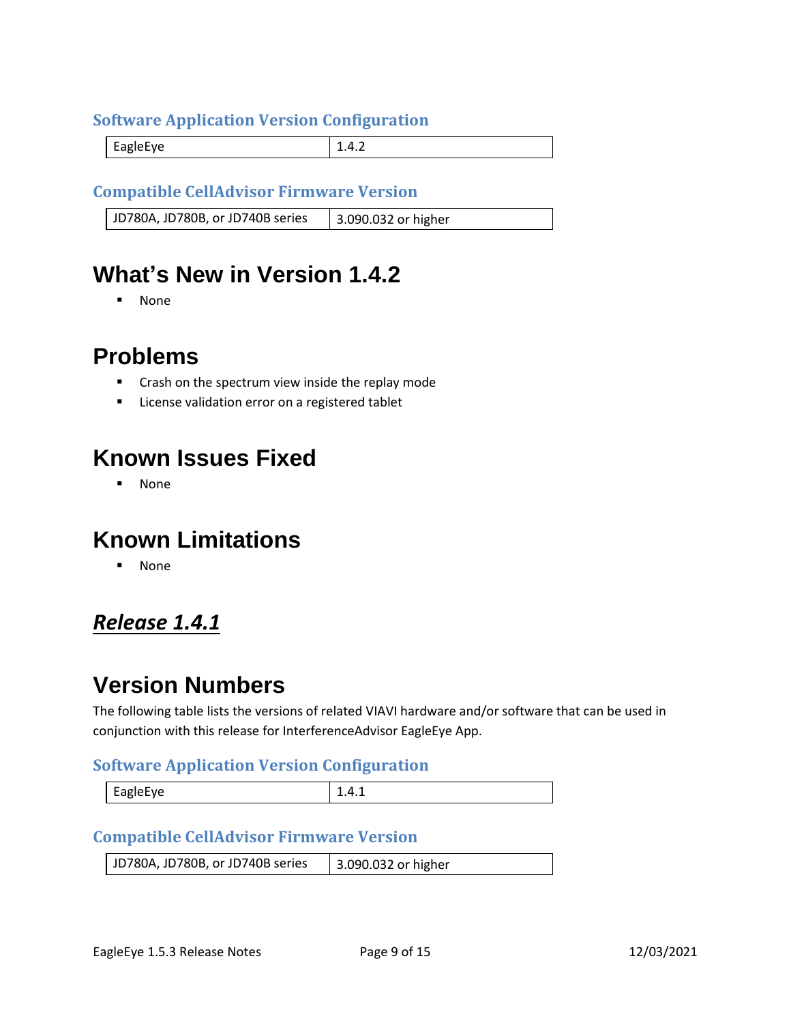#### **Software Application Version Configuration**

EagleEye 2.4.2

#### **Compatible CellAdvisor Firmware Version**

JD780A, JD780B, or JD740B series | 3.090.032 or higher

### **What's New in Version 1.4.2**

▪ None

#### **Problems**

- Crash on the spectrum view inside the replay mode
- License validation error on a registered tablet

### **Known Issues Fixed**

▪ None

### **Known Limitations**

▪ None

#### <span id="page-8-0"></span>*Release 1.4.1*

### **Version Numbers**

The following table lists the versions of related VIAVI hardware and/or software that can be used in conjunction with this release for InterferenceAdvisor EagleEye App.

#### **Software Application Version Configuration**

| EagleEye | -- - - - |
|----------|----------|
|          |          |

#### **Compatible CellAdvisor Firmware Version**

| JD780A, JD780B, or JD740B series | 3.090.032 or higher |
|----------------------------------|---------------------|
|----------------------------------|---------------------|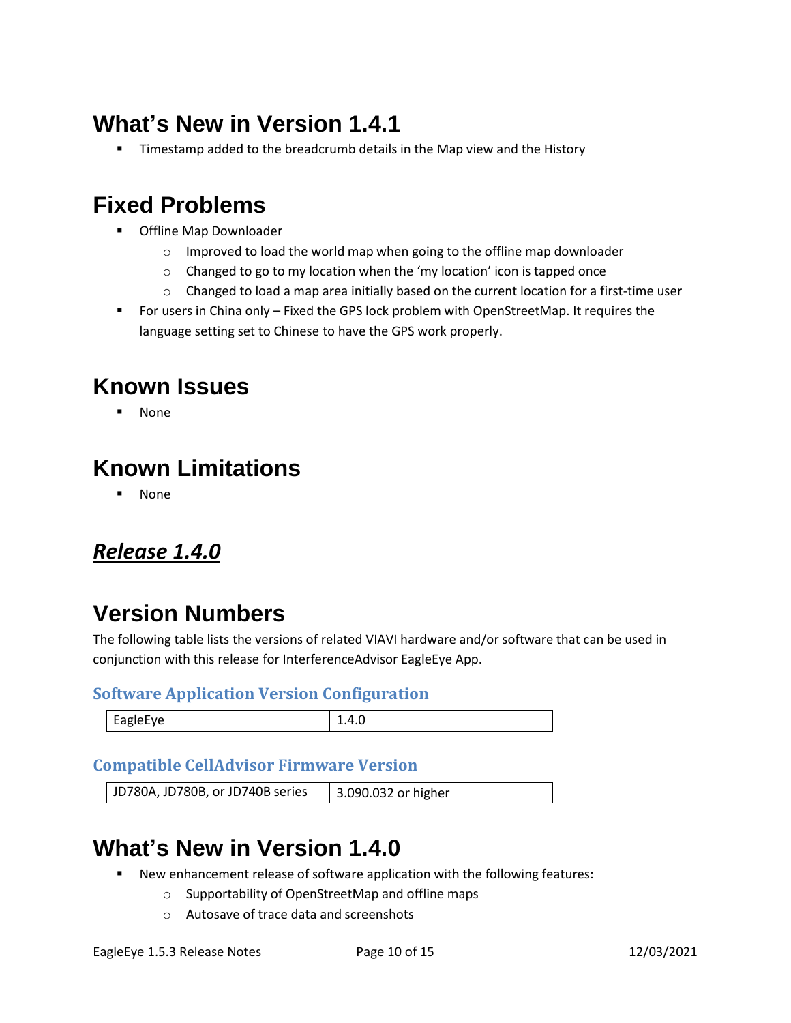# **What's New in Version 1.4.1**

**■** Timestamp added to the breadcrumb details in the Map view and the History

## **Fixed Problems**

- Offline Map Downloader
	- o Improved to load the world map when going to the offline map downloader
	- o Changed to go to my location when the 'my location' icon is tapped once
	- o Changed to load a map area initially based on the current location for a first-time user
- For users in China only Fixed the GPS lock problem with OpenStreetMap. It requires the language setting set to Chinese to have the GPS work properly.

### **Known Issues**

**None** 

# **Known Limitations**

▪ None

#### <span id="page-9-0"></span>*Release 1.4.0*

## **Version Numbers**

The following table lists the versions of related VIAVI hardware and/or software that can be used in conjunction with this release for InterferenceAdvisor EagleEye App.

#### **Software Application Version Configuration**

|  | -agiel ve<br>-<br>סים | __ |
|--|-----------------------|----|
|--|-----------------------|----|

#### **Compatible CellAdvisor Firmware Version**

| JD780A, JD780B, or JD740B series | 3.090.032 or higher |
|----------------------------------|---------------------|
|----------------------------------|---------------------|

## **What's New in Version 1.4.0**

- New enhancement release of software application with the following features:
	- o Supportability of OpenStreetMap and offline maps
	- o Autosave of trace data and screenshots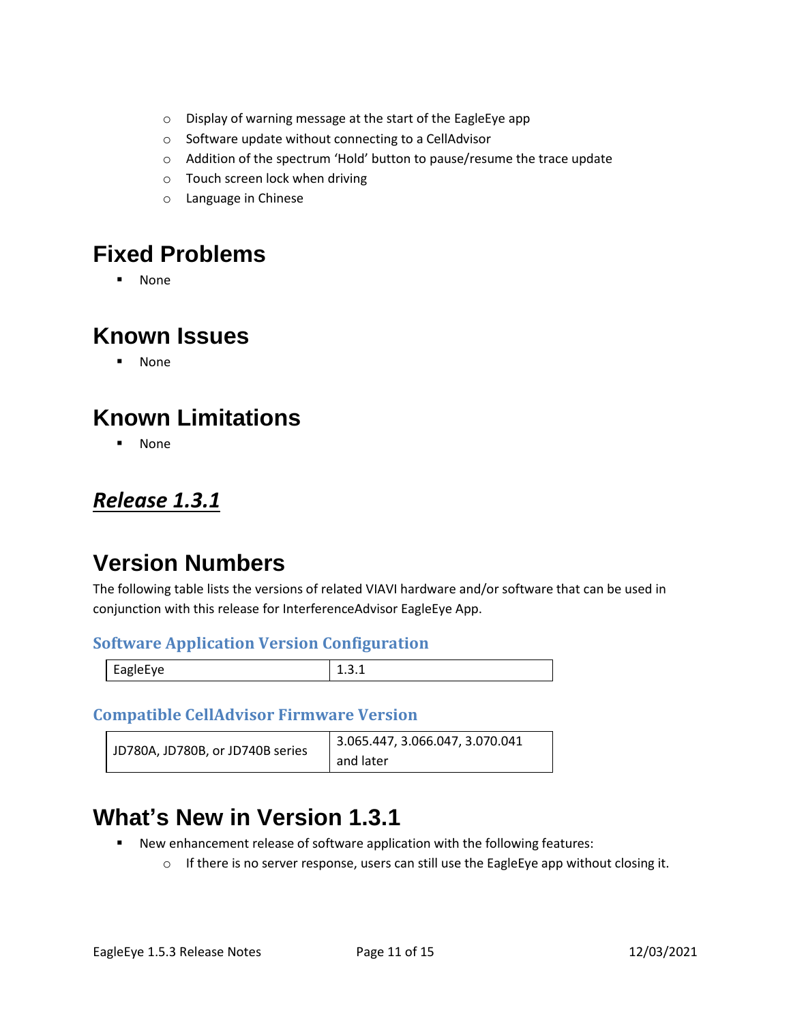- o Display of warning message at the start of the EagleEye app
- o Software update without connecting to a CellAdvisor
- o Addition of the spectrum 'Hold' button to pause/resume the trace update
- o Touch screen lock when driving
- o Language in Chinese

### **Fixed Problems**

▪ None

### **Known Issues**

▪ None

# **Known Limitations**

▪ None

#### <span id="page-10-0"></span>*Release 1.3.1*

# **Version Numbers**

The following table lists the versions of related VIAVI hardware and/or software that can be used in conjunction with this release for InterferenceAdvisor EagleEye App.

#### **Software Application Version Configuration**

|  | auiprve<br>$  -$ | .<br>---- |
|--|------------------|-----------|
|--|------------------|-----------|

#### **Compatible CellAdvisor Firmware Version**

| JD780A, JD780B, or JD740B series | 3.065.447, 3.066.047, 3.070.041 |
|----------------------------------|---------------------------------|
|                                  | and later                       |

# **What's New in Version 1.3.1**

- New enhancement release of software application with the following features:
	- $\circ$  If there is no server response, users can still use the EagleEye app without closing it.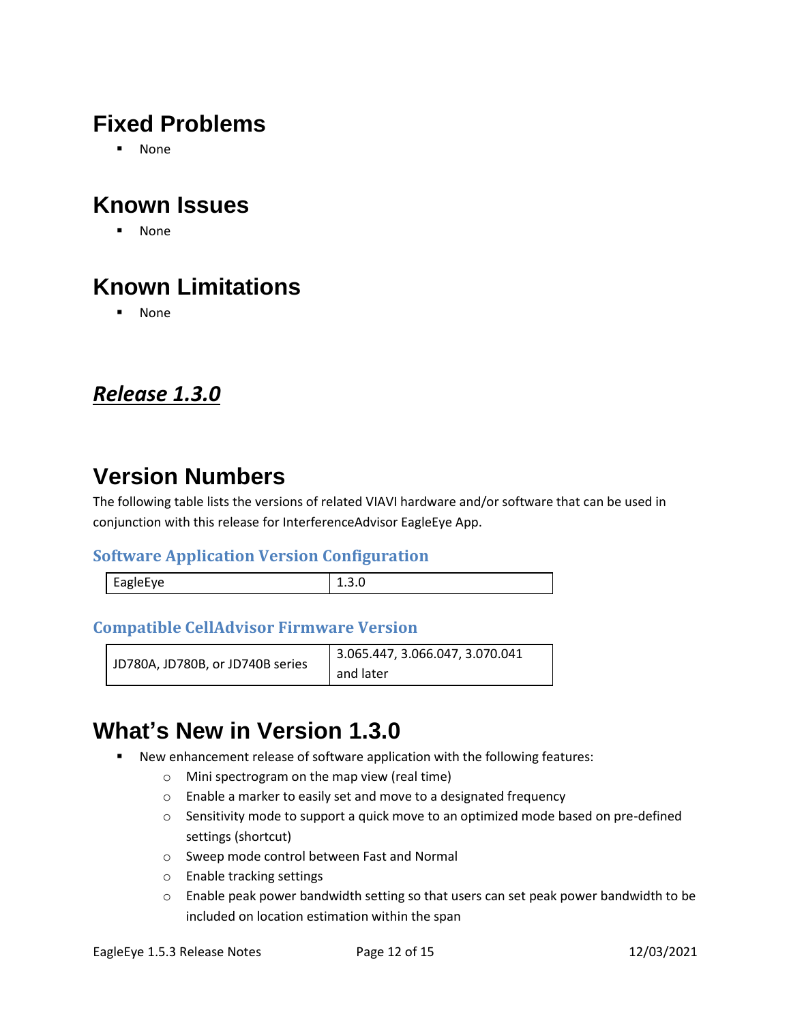# **Fixed Problems**

▪ None

# **Known Issues**

▪ None

# **Known Limitations**

▪ None

#### <span id="page-11-0"></span>*Release 1.3.0*

## **Version Numbers**

The following table lists the versions of related VIAVI hardware and/or software that can be used in conjunction with this release for InterferenceAdvisor EagleEye App.

#### **Software Application Version Configuration**

| $\overline{\phantom{0}}$<br>$\sim$ $\sim$<br><b>E</b> APIAFVA<br>$-90 - -$ |  |
|----------------------------------------------------------------------------|--|
|                                                                            |  |

#### **Compatible CellAdvisor Firmware Version**

| JD780A, JD780B, or JD740B series | 3.065.447, 3.066.047, 3.070.041 |
|----------------------------------|---------------------------------|
|                                  | and later                       |

## **What's New in Version 1.3.0**

- New enhancement release of software application with the following features:
	- o Mini spectrogram on the map view (real time)
	- o Enable a marker to easily set and move to a designated frequency
	- o Sensitivity mode to support a quick move to an optimized mode based on pre-defined settings (shortcut)
	- o Sweep mode control between Fast and Normal
	- o Enable tracking settings
	- $\circ$  Enable peak power bandwidth setting so that users can set peak power bandwidth to be included on location estimation within the span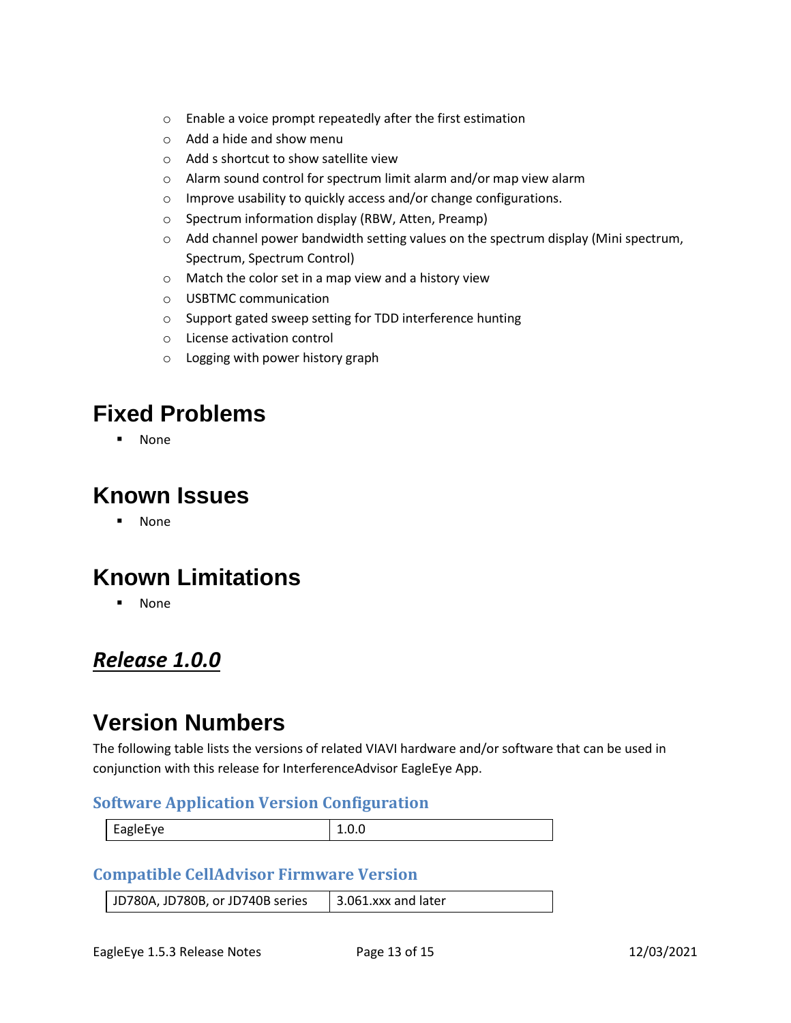- o Enable a voice prompt repeatedly after the first estimation
- o Add a hide and show menu
- o Add s shortcut to show satellite view
- o Alarm sound control for spectrum limit alarm and/or map view alarm
- o Improve usability to quickly access and/or change configurations.
- o Spectrum information display (RBW, Atten, Preamp)
- $\circ$  Add channel power bandwidth setting values on the spectrum display (Mini spectrum, Spectrum, Spectrum Control)
- o Match the color set in a map view and a history view
- o USBTMC communication
- o Support gated sweep setting for TDD interference hunting
- o License activation control
- o Logging with power history graph

### **Fixed Problems**

**None** 

#### **Known Issues**

▪ None

### **Known Limitations**

▪ None

#### <span id="page-12-0"></span>*Release 1.0.0*

### **Version Numbers**

The following table lists the versions of related VIAVI hardware and/or software that can be used in conjunction with this release for InterferenceAdvisor EagleEye App.

#### **Software Application Version Configuration**

| $\overline{\phantom{0}}$<br>EagleFye |  |
|--------------------------------------|--|
|                                      |  |

#### **Compatible CellAdvisor Firmware Version**

JD780A, JD780B, or JD740B series  $\parallel$  3.061.xxx and later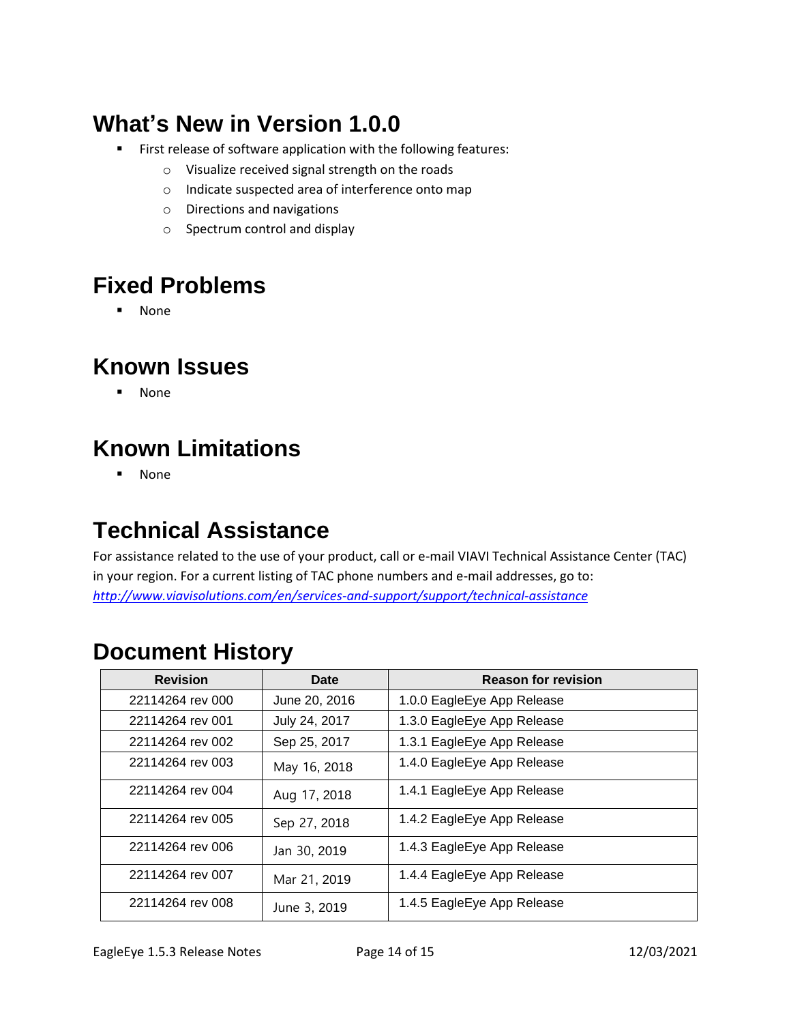# **What's New in Version 1.0.0**

- First release of software application with the following features:
	- o Visualize received signal strength on the roads
	- o Indicate suspected area of interference onto map
	- o Directions and navigations
	- o Spectrum control and display

# **Fixed Problems**

▪ None

## **Known Issues**

▪ None

# **Known Limitations**

▪ None

## <span id="page-13-0"></span>**Technical Assistance**

For assistance related to the use of your product, call or e-mail VIAVI Technical Assistance Center (TAC) in your region. For a current listing of TAC phone numbers and e-mail addresses, go to: *<http://www.viavisolutions.com/en/services-and-support/support/technical-assistance>*

### <span id="page-13-1"></span>**Document History**

| <b>Revision</b>  | Date          | <b>Reason for revision</b> |
|------------------|---------------|----------------------------|
| 22114264 rev 000 | June 20, 2016 | 1.0.0 EagleEye App Release |
| 22114264 rev 001 | July 24, 2017 | 1.3.0 EagleEye App Release |
| 22114264 rev 002 | Sep 25, 2017  | 1.3.1 EagleEye App Release |
| 22114264 rev 003 | May 16, 2018  | 1.4.0 EagleEye App Release |
| 22114264 rev 004 | Aug 17, 2018  | 1.4.1 EagleEye App Release |
| 22114264 rev 005 | Sep 27, 2018  | 1.4.2 EagleEye App Release |
| 22114264 rev 006 | Jan 30, 2019  | 1.4.3 EagleEye App Release |
| 22114264 rev 007 | Mar 21, 2019  | 1.4.4 EagleEye App Release |
| 22114264 rev 008 | June 3, 2019  | 1.4.5 EagleEye App Release |